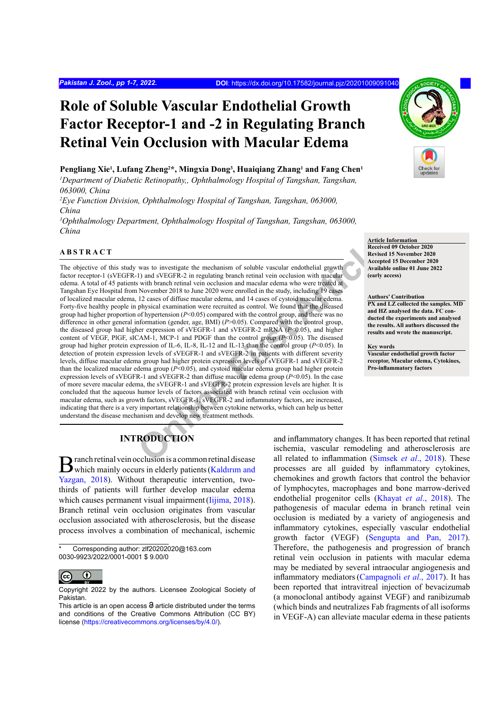# **Role of Soluble Vascular Endothelial Growth Factor Receptor-1 and -2 in Regulating Branch Retinal Vein Occlusion with Macular Edema**

# **Pengliang Xie1 , Lufang Zheng2 \*, Mingxia Dong3 , Huaiqiang Zhang1 and Fang Chen1**

*1 Department of Diabetic Retinopathy,, Ophthalmology Hospital of Tangshan, Tangshan, 063000, China*

*2 Eye Function Division, Ophthalmology Hospital of Tangshan, Tangshan, 063000, China*

*3 Ophthalmology Department, Ophthalmology Hospital of Tangshan, Tangshan, 063000, China*

# **ABSTRACT**

Nextrict in the mechanism of soluble vascular endothelial growth<br>
1) and sVEGFR-2 in regulating branch retinal vein occlusion with macular<br>
Secretive Available with branch retinal vein occlusion and macular edema who were The objective of this study was to investigate the mechanism of soluble vascular endothelial growth factor receptor-1 (sVEGFR-1) and sVEGFR-2 in regulating branch retinal vein occlusion with macular edema. A total of 45 patients with branch retinal vein occlusion and macular edema who were treated at Tangshan Eye Hospital from November 2018 to June 2020 were enrolled in the study, including 19 cases of localized macular edema, 12 cases of diffuse macular edema, and 14 cases of cystoid macular edema. Forty-five healthy people in physical examination were recruited as control. We found that the diseased group had higher proportion of hypertension (*P*<0.05) compared with the control group, and there was no difference in other general information (gender, age, BMI) (*P*>0.05). Compared with the control group, the diseased group had higher expression of sVEGFR-1 and sVEGFR-2 mRNA (*P*<0.05), and higher content of VEGF, PlGF, sICAM-1, MCP-1 and PDGF than the control group (*P*<0.05). The diseased group had higher protein expression of IL-6, IL-8, IL-12 and IL-13 than the control group (*P*<0.05). In detection of protein expression levels of sVEGFR-1 and sVEGFR-2 in patients with different severity levels, diffuse macular edema group had higher protein expression levels of sVEGFR-1 and sVEGFR-2 than the localized macular edema group (*P*<0.05), and cystoid macular edema group had higher protein expression levels of sVEGFR-1 and sVEGFR-2 than diffuse macular edema group  $(P<0.05)$ . In the case of more severe macular edema, the sVEGFR-1 and sVEGFR-2 protein expression levels are higher. It is concluded that the aqueous humor levels of factors associated with branch retinal vein occlusion with macular edema, such as growth factors, sVEGFR-1, sVEGFR-2 and inflammatory factors, are increased, indicating that there is a very important relationship between cytokine networks, which can help us better understand the disease mechanism and develop new treatment methods.

# **INTRODUCTION**

Branch retinal vein occlusion is a common retinal disease<br>which mainly occurs in elderly patients (Kaldırım and Yazgan, 2018). Without therapeutic intervention, twothirds of patients will further develop macular edema which causes permanent visual impairment [\(Iijima, 2018](#page-5-0)). Branch retinal vein occlusion originates from vascular occlusion associated with atherosclerosis, but the disease process involves a combination of mechanical, ischemic

Corresponding author: zlf20202020@163.com 0030-9923/2022/0001-0001 \$ 9.00/0



Copyright 2022 by the authors. Licensee Zoological Society of Pakistan.



**Article Information Received 09 October 2020 Revised 15 November 2020 Accepted 15 December 2020 Available online 01 June 2022**

#### **Authors' Contribution**

**(early access)**

**PX and LZ collected the samples. MD and HZ analysed the data. FC conducted the experiments and analysed the results. All authors discussed the results and wrote the manuscript.**

**Key words**

**Vascular endothelial growth factor receptor, Macular edema, Cytokines, Pro-inflammatory factors**

and inflammatory changes. It has been reported that retinal ischemia, vascular remodeling and atherosclerosis are all related to inflammation ([Simsek](#page-6-0) *et al*., 2018). These processes are all guided by inflammatory cytokines, chemokines and growth factors that control the behavior of lymphocytes, macrophages and bone marrow-derived endothelial progenitor cells ([Khayat](#page-5-1) *et al*., 2018). The pathogenesis of macular edema in branch retinal vein occlusion is mediated by a variety of angiogenesis and inflammatory cytokines, especially vascular endothelial growth factor (VEGF) ([Sengupta and Pan, 2017\)](#page-6-1). Therefore, the pathogenesis and progression of branch retinal vein occlusion in patients with macular edema may be mediated by several intraocular angiogenesis and inflammatory mediators([Campagnoli](#page-5-2) *et al*., 2017). It has been reported that intravitreal injection of bevacizumab (a monoclonal antibody against VEGF) and ranibizumab (which binds and neutralizes Fab fragments of all isoforms in VEGF-A) can alleviate macular edema in these patients

This article is an open access  $\Theta$  article distributed under the terms and conditions of the Creative Commons Attribution (CC BY) license (<https://creativecommons.org/licenses/by/4.0/>).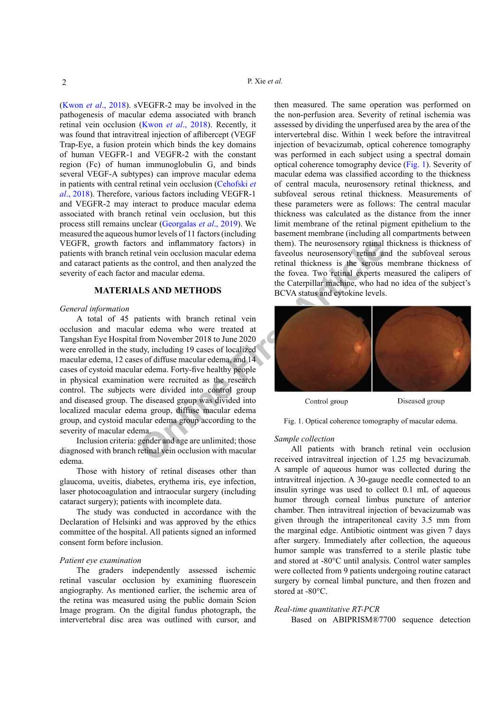(Kwon *et al*[., 2018](#page-5-3)). sVEGFR-2 may be involved in the pathogenesis of macular edema associated with branch retinal vein occlusion (Kwon *et al*[., 2018\)](#page-5-3). Recently, it was found that intravitreal injection of aflibercept (VEGF Trap-Eye, a fusion protein which binds the key domains of human VEGFR-1 and VEGFR-2 with the constant region (Fc) of human immunoglobulin G, and binds several VEGF-A subtypes) can improve macular edema in patients with central retinal vein occlusion (Cehofski *et al*., 2018). Therefore, various factors including VEGFR-1 and VEGFR-2 may interact to produce macular edema associated with branch retinal vein occlusion, but this process still remains unclear [\(Georgalas](#page-5-4) *et al*., 2019). We measured the aqueous humor levels of 11 factors (including VEGFR, growth factors and inflammatory factors) in patients with branch retinal vein occlusion macular edema and cataract patients as the control, and then analyzed the severity of each factor and macular edema.

# **MATERIALS AND METHODS**

# *General information*

The mean of the control and the mean and the control and the control and the control and mean and mean and mean and mean and mean and mean and the Caterpillar machine, who had are the seal of the Sector of the Caterpillar A total of 45 patients with branch retinal vein occlusion and macular edema who were treated at Tangshan Eye Hospital from November 2018 to June 2020 were enrolled in the study, including 19 cases of localized macular edema, 12 cases of diffuse macular edema, and 14 cases of cystoid macular edema. Forty-five healthy people in physical examination were recruited as the research control. The subjects were divided into control group and diseased group. The diseased group was divided into localized macular edema group, diffuse macular edema group, and cystoid macular edema group according to the severity of macular edema.

Inclusion criteria: gender and age are unlimited; those diagnosed with branch retinal vein occlusion with macular edema.

Those with history of retinal diseases other than glaucoma, uveitis, diabetes, erythema iris, eye infection, laser photocoagulation and intraocular surgery (including cataract surgery); patients with incomplete data.

The study was conducted in accordance with the Declaration of Helsinki and was approved by the ethics committee of the hospital. All patients signed an informed consent form before inclusion.

### *Patient eye examination*

The graders independently assessed ischemic retinal vascular occlusion by examining fluorescein angiography. As mentioned earlier, the ischemic area of the retina was measured using the public domain Scion Image program. On the digital fundus photograph, the intervertebral disc area was outlined with cursor, and

then measured. The same operation was performed on the non-perfusion area. Severity of retinal ischemia was assessed by dividing the unperfused area by the area of the intervertebral disc. Within 1 week before the intravitreal injection of bevacizumab, optical coherence tomography was performed in each subject using a spectral domain optical coherence tomography device ([Fig. 1](#page-1-0)). Severity of macular edema was classified according to the thickness of central macula, neurosensory retinal thickness, and subfoveal serous retinal thickness. Measurements of these parameters were as follows: The central macular thickness was calculated as the distance from the inner limit membrane of the retinal pigment epithelium to the basement membrane (including all compartments between them). The neurosensory retinal thickness is thickness of faveolus neurosensory retina and the subfoveal serous retinal thickness is the serous membrane thickness of the fovea. Two retinal experts measured the calipers of the Caterpillar machine, who had no idea of the subject's BCVA status and cytokine levels.



Diseased group

<span id="page-1-0"></span>Fig. 1. Optical coherence tomography of macular edema.

# *Sample collection*

All patients with branch retinal vein occlusion received intravitreal injection of 1.25 mg bevacizumab. A sample of aqueous humor was collected during the intravitreal injection. A 30-gauge needle connected to an insulin syringe was used to collect 0.1 mL of aqueous humor through corneal limbus puncture of anterior chamber. Then intravitreal injection of bevacizumab was given through the intraperitoneal cavity 3.5 mm from the marginal edge. Antibiotic ointment was given 7 days after surgery. Immediately after collection, the aqueous humor sample was transferred to a sterile plastic tube and stored at -80°C until analysis. Control water samples were collected from 9 patients undergoing routine cataract surgery by corneal limbal puncture, and then frozen and stored at -80°C.

#### *Real-time quantitative RT-PCR*

Based on ABIPRISM®7700 sequence detection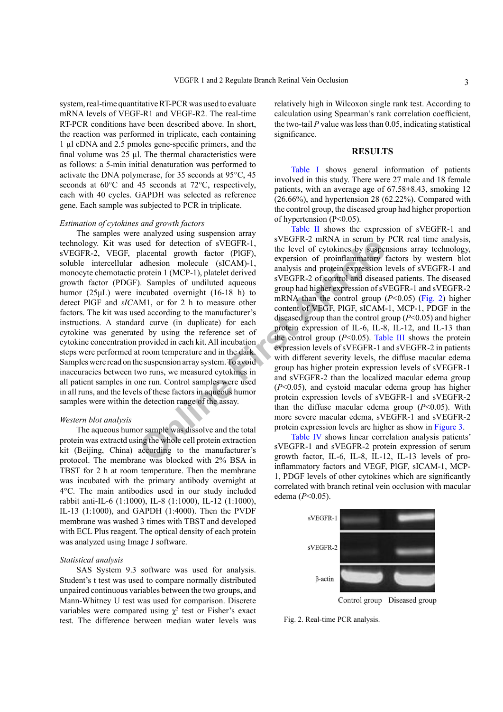system, real-time quantitative RT-PCR was used to evaluate mRNA levels of VEGF-R1 and VEGF-R2. The real-time RT-PCR conditions have been described above. In short, the reaction was performed in triplicate, each containing 1 µl cDNA and 2.5 pmoles gene-specific primers, and the final volume was 25 µl. The thermal characteristics were as follows: a 5-min initial denaturation was performed to activate the DNA polymerase, for 35 seconds at 95°C, 45 seconds at 60°C and 45 seconds at 72°C, respectively, each with 40 cycles. GAPDH was selected as reference gene. Each sample was subjected to PCR in triplicate.

#### *Estimation of cytokines and growth factors*

The samples were analyzed using suspension array technology. Kit was used for detection of sVEGFR-1, sVEGFR-2, VEGF, placental growth factor (PlGF), soluble intercellular adhesion molecule (sICAM)-1, monocyte chemotactic protein 1 (MCP-1), platelet derived growth factor (PDGF). Samples of undiluted aqueous humor (25μL) were incubated overnight (16-18 h) to detect PlGF and *sIC*AM1, or for 2 h to measure other factors. The kit was used according to the manufacturer's instructions. A standard curve (in duplicate) for each cytokine was generated by using the reference set of cytokine concentration provided in each kit. All incubation steps were performed at room temperature and in the dark. Samples were read on the suspension array system. To avoid inaccuracies between two runs, we measured cytokines in all patient samples in one run. Control samples were used in all runs, and the levels of these factors in aqueous humor samples were within the detection range of the assay.

#### *Western blot analysis*

The aqueous humor sample was dissolve and the total protein was extractd using the whole cell protein extraction kit (Beijing, China) according to the manufacturer's protocol. The membrane was blocked with 2% BSA in TBST for 2 h at room temperature. Then the membrane was incubated with the primary antibody overnight at 4°C. The main antibodies used in our study included rabbit anti-IL-6 (1:1000), IL-8 (1:1000), IL-12 (1:1000), IL-13 (1:1000), and GAPDH (1:4000). Then the PVDF membrane was washed 3 times with TBST and developed with ECL Plus reagent. The optical density of each protein was analyzed using Image J software.

#### *Statistical analysis*

SAS System 9.3 software was used for analysis. Student's t test was used to compare normally distributed unpaired continuous variables between the two groups, and Mann-Whitney U test was used for comparison. Discrete variables were compared using  $\chi^2$  test or Fisher's exact test. The difference between median water levels was

relatively high in Wilcoxon single rank test. According to calculation using Spearman's rank correlation coefficient, the two-tail *P* value was less than 0.05, indicating statistical significance.

#### **RESULTS**

[Table I](#page-3-0) shows general information of patients involved in this study. There were 27 male and 18 female patients, with an average age of 67.58±8.43, smoking 12  $(26.66\%)$ , and hypertension 28  $(62.22\%)$ . Compared with the control group, the diseased group had higher proportion of hypertension (P<0.05).

Solution of SVEGFR-1,<br>
placental growth factor (PIGF),<br>
the level of cytokines by susper<br>
andhesion molecule (SICAM)-1,<br>
protein 1 (MCP-1), platelet derived<br>
andlysis and protein expression for<br>
protein 1 (MCP-1), platelet [Table II](#page-3-1) shows the expression of sVEGFR-1 and sVEGFR-2 mRNA in serum by PCR real time analysis, the level of cytokines by suspensions array technology, expersion of proinflammatory factors by western blot analysis and protein expression levels of sVEGFR-1 and sVEGFR-2 of control and diseased patients. The diseased group had higher expression of sVEGFR-1 and sVEGFR-2 mRNA than the control group (*P*<0.05) ([Fig. 2](#page-2-0)) higher content of VEGF, PlGF, sICAM-1, MCP-1, PDGF in the diseased group than the control group (*P*<0.05) and higher protein expression of IL-6, IL-8, IL-12, and IL-13 than the control group  $(P<0.05)$ . Table III shows the protein expression levels of sVEGFR-1 and sVEGFR-2 in patients with different severity levels, the diffuse macular edema group has higher protein expression levels of sVEGFR-1 and sVEGFR-2 than the localized macular edema group (*P*<0.05), and cystoid macular edema group has higher protein expression levels of sVEGFR-1 and sVEGFR-2 than the diffuse macular edema group (*P*<0.05). With more severe macular edema, sVEGFR-1 and sVEGFR-2 protein expression levels are higher as show in [Figure 3](#page-3-2).

Table IV shows linear correlation analysis patients' sVEGFR-1 and sVEGFR-2 protein expression of serum growth factor, IL-6, IL-8, IL-12, IL-13 levels of proinflammatory factors and VEGF, PlGF, sICAM-1, MCP-1, PDGF levels of other cytokines which are significantly correlated with branch retinal vein occlusion with macular edema (*P*<0.05).



<span id="page-2-0"></span>Fig. 2. Real-time PCR analysis.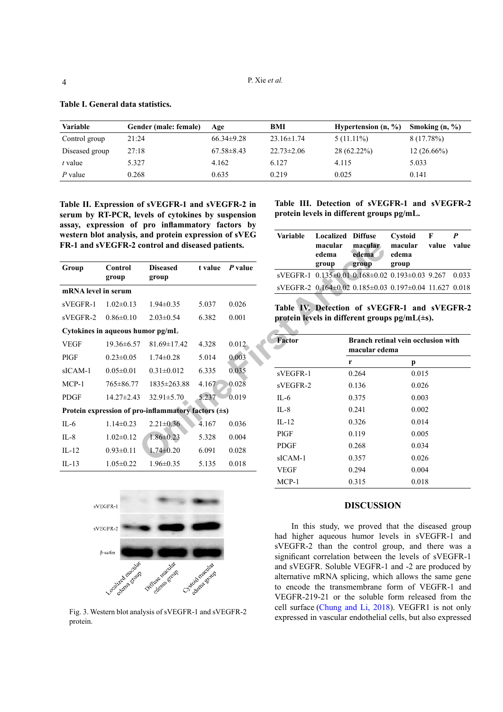| Variable       | Gender (male: female) | Age              | BMI              | Hypertension $(n, %)$ | Smoking $(n, %)$ |
|----------------|-----------------------|------------------|------------------|-----------------------|------------------|
| Control group  | 21:24                 | $66.34\pm9.28$   | $23.16 \pm 1.74$ | $5(11.11\%)$          | 8 (17.78%)       |
| Diseased group | 27:18                 | $67.58 \pm 8.43$ | $22.73 \pm 2.06$ | $28(62.22\%)$         | $12(26.66\%)$    |
| t value        | 5.327                 | 4.162            | 6.127            | 4.115                 | 5.033            |
| $P$ value      | 0.268                 | 0.635            | 0.219            | 0.025                 | 0.141            |

<span id="page-3-0"></span>**Table I. General data statistics.**

<span id="page-3-1"></span>**Table II. Expression of sVEGFR-1 and sVEGFR-2 in serum by RT-PCR, levels of cytokines by suspension assay, expression of pro inflammatory factors by western blot analysis, and protein expression of sVEG FR-1 and sVEGFR-2 control and diseased patients.**

|                     | FR-1 and sVEGFR-2 control and diseased patients. |                                                          |         |           |             | macular<br>edema                  | macular<br>edema                  |
|---------------------|--------------------------------------------------|----------------------------------------------------------|---------|-----------|-------------|-----------------------------------|-----------------------------------|
| Group               | Control                                          | <b>Diseased</b>                                          | t value | P value   |             | group                             | group                             |
|                     | group                                            | group                                                    |         |           |             | sVEGFR-1 0.135±0.01 0.168±0.02    |                                   |
| mRNA level in serum |                                                  |                                                          |         |           |             | sVEGFR-2 0.164±0.02 0.185±0.03    |                                   |
| sVEGFR-1            | $1.02 \pm 0.13$                                  | $1.94 \pm 0.35$                                          | 5.037   | 0.026     |             | Table IV. Detection of sVEC       |                                   |
| sVEGFR-2            | $0.86 \pm 0.10$                                  | $2.03 \pm 0.54$                                          | 6.382   | 0.001     |             | protein levels in different group |                                   |
|                     | Cytokines in aqueous humor pg/mL                 |                                                          |         |           |             |                                   |                                   |
| <b>VEGF</b>         | $19.36 \pm 6.57$                                 | $81.69 \pm 17.42$                                        | 4.328   | $0.012 -$ | Factor      |                                   | <b>Branch reti</b><br>macular ede |
| PIGF                | $0.23 \pm 0.05$                                  | $1.74 \pm 0.28$                                          | 5.014   | 0.003     |             |                                   | r                                 |
| $sICAM-1$           | $0.05 \pm 0.01$                                  | $0.31 \pm 0.012$                                         | 6.335   | 0.035     | sVEGFR-1    |                                   | 0.264                             |
| $MCP-1$             | 765±86.77                                        | $1835 \pm 263.88$                                        | 4.167   | 0.028     | sVEGFR-2    |                                   | 0.136                             |
| <b>PDGF</b>         | $14.27 \pm 2.43$                                 | $32.91 \pm 5.70$                                         | 5.237   | 0.019     | IL-6        |                                   | 0.375                             |
|                     |                                                  | Protein expression of pro-inflammatory factors $(\pm s)$ |         |           | $IL-8$      |                                   | 0.241                             |
| $IL-6$              | $1.14 \pm 0.23$                                  | $2.21 \pm 0.36$                                          | 4.167   | 0.036     | $IL-12$     |                                   | 0.326                             |
| $IL-8$              | $1.02 \pm 0.12$                                  | $1.86 \pm 0.23$                                          | 5.328   | 0.004     | PIGF        |                                   | 0.119                             |
| $IL-12$             | $0.93 \pm 0.11$                                  | $1.74 \pm 0.20$                                          | 6.091   | 0.028     | <b>PDGF</b> |                                   | 0.268                             |
| $IL-13$             | $1.05 \pm 0.22$                                  | $1.96 \pm 0.35$                                          | 5.135   | 0.018     | sICAM-1     |                                   | 0.357                             |
|                     |                                                  |                                                          |         |           | <b>VEGF</b> |                                   | 0.294                             |



<span id="page-3-2"></span>Fig. 3. Western blot analysis of sVEGFR-1 and sVEGFR-2 protein.

**Table III. Detection of sVEGFR-1 and sVEGFR-2 protein levels in different groups pg/mL.**

| <b>Variable</b> | <b>Localized Diffuse</b><br>macular<br>edema<br>group | macular<br>edema<br>group                             | Cystoid<br>macular<br>edema<br>group                   | F<br>value | value |
|-----------------|-------------------------------------------------------|-------------------------------------------------------|--------------------------------------------------------|------------|-------|
|                 |                                                       | sVEGFR-1 0.135±0.01 0.168±0.02 0.193±0.03 9.267 0.033 |                                                        |            |       |
|                 |                                                       |                                                       | sVEGFR-2 0.164±0.02 0.185±0.03 0.197±0.04 11.627 0.018 |            |       |

<span id="page-3-3"></span>**Table IV. Detection of sVEGFR-1 and sVEGFR-2 protein levels in different groups pg/mL(±s).**

| Factor      | Branch retinal vein occlusion with<br>macular edema |       |  |  |
|-------------|-----------------------------------------------------|-------|--|--|
|             | r                                                   | p     |  |  |
| sVEGFR-1    | 0.264                                               | 0.015 |  |  |
| sVEGFR-2    | 0.136                                               | 0.026 |  |  |
| IL-6        | 0.375                                               | 0.003 |  |  |
| $II - 8$    | 0.241                                               | 0.002 |  |  |
| $II - 12$   | 0.326                                               | 0.014 |  |  |
| PIGF        | 0.119                                               | 0.005 |  |  |
| <b>PDGF</b> | 0.268                                               | 0.034 |  |  |
| $sICAM-1$   | 0.357                                               | 0.026 |  |  |
| <b>VEGF</b> | 0.294                                               | 0.004 |  |  |
| MCP-1       | 0.315                                               | 0.018 |  |  |

#### **DISCUSSION**

In this study, we proved that the diseased group had higher aqueous humor levels in sVEGFR-1 and sVEGFR-2 than the control group, and there was a significant correlation between the levels of sVEGFR-1 and sVEGFR. Soluble VEGFR-1 and -2 are produced by alternative mRNA splicing, which allows the same gene to encode the transmembrane form of VEGFR-1 and VEGFR-219-21 or the soluble form released from the cell surface ([Chung and Li, 2018](#page-5-5)). VEGFR1 is not only expressed in vascular endothelial cells, but also expressed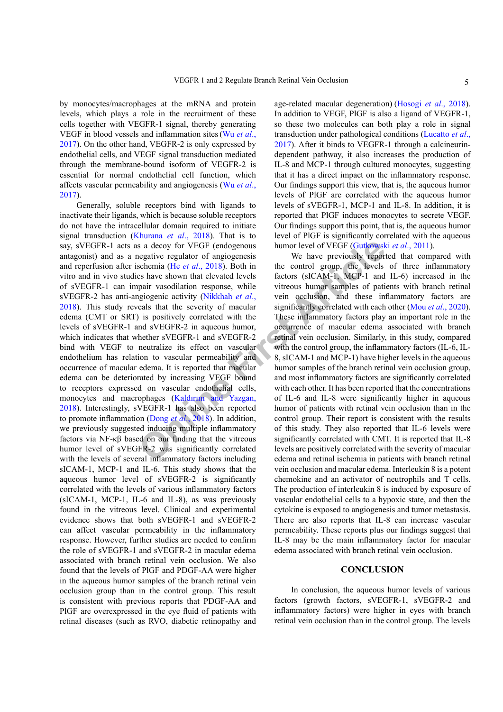by monocytes/macrophages at the mRNA and protein levels, which plays a role in the recruitment of these cells together with VEGFR-1 signal, thereby generating VEGF in blood vessels and inflammation sites(Wu *[et al](#page-6-2)*., [2017](#page-6-2)). On the other hand, VEGFR-2 is only expressed by endothelial cells, and VEGF signal transduction mediated through the membrane-bound isoform of VEGFR-2 is essential for normal endothelial cell function, which affects vascular permeability and angiogenesis (Wu *[et al](#page-6-2)*., [2017\)](#page-6-2).

**EXECT ARTICLUS** Sa decoy for VEGF (endogenous humor [le](#page-5-10)vel of VEGF (Gutkowsk egative regulator of angiogenesis We have previously report<br>
Ses have breviously report school group, the levels factors (sICAM-1, MCP-1 and<br>
pa Generally, soluble receptors bind with ligands to inactivate their ligands, which is because soluble receptors do not have the intracellular domain required to initiate signal transduction [\(Khurana](#page-5-6) *et al*., 2018). That is to say, sVEGFR-1 acts as a decoy for VEGF (endogenous antagonist) and as a negative regulator of angiogenesis and reperfusion after ischemia (He *et al*., 2018). Both in vitro and in vivo studies have shown that elevated levels of sVEGFR-1 can impair vasodilation response, while sVEGFR-2 has anti-angiogenic activity (Nikkhah *et al*., [2018\)](#page-6-3). This study reveals that the severity of macular edema (CMT or SRT) is positively correlated with the levels of sVEGFR-1 and sVEGFR-2 in aqueous humor, which indicates that whether sVEGFR-1 and sVEGFR-2 bind with VEGF to neutralize its effect on vascular endothelium has relation to vascular permeability and occurrence of macular edema. It is reported that macular edema can be deteriorated by increasing VEGF bound to receptors expressed on vascular endothelial cells, monocytes and macrophages (Kaldırım and Yazgan, 2018). Interestingly, sVEGFR-1 has also been reported to promote inflammation (Dong *et al*., 2018). In addition, we previously suggested inducing multiple inflammatory factors via NF-κβ based on our finding that the vitreous humor level of sVEGFR-2 was significantly correlated with the levels of several inflammatory factors including sICAM-1, MCP-1 and IL-6. This study shows that the aqueous humor level of sVEGFR-2 is significantly correlated with the levels of various inflammatory factors (sICAM-1, MCP-1, IL-6 and IL-8), as was previously found in the vitreous level. Clinical and experimental evidence shows that both sVEGFR-1 and sVEGFR-2 can affect vascular permeability in the inflammatory response. However, further studies are needed to confirm the role of sVEGFR-1 and sVEGFR-2 in macular edema associated with branch retinal vein occlusion. We also found that the levels of PlGF and PDGF-AA were higher in the aqueous humor samples of the branch retinal vein occlusion group than in the control group. This result is consistent with previous reports that PDGF-AA and PlGF are overexpressed in the eye fluid of patients with retinal diseases (such as RVO, diabetic retinopathy and

age-related macular degeneration) [\(Hosogi](#page-5-9) *et al*., 2018). In addition to VEGF, PlGF is also a ligand of VEGFR-1, so these two molecules can both play a role in signal transduction under pathological conditions (Lucatto *et al*., 2017). After it binds to VEGFR-1 through a calcineurindependent pathway, it also increases the production of IL-8 and MCP-1 through cultured monocytes, suggesting that it has a direct impact on the inflammatory response. Our findings support this view, that is, the aqueous humor levels of PlGF are correlated with the aqueous humor levels of sVEGFR-1, MCP-1 and IL-8. In addition, it is reported that PlGF induces monocytes to secrete VEGF. Our findings support this point, that is, the aqueous humor level of PlGF is significantly correlated with the aqueous humor level of VEGF (Gutkowski *et al*., 2011).

We have previously reported that compared with the control group, the levels of three inflammatory factors (sICAM-1, MCP-1 and IL-6) increased in the vitreous humor samples of patients with branch retinal vein occlusion, and these inflammatory factors are significantly correlated with each other (Mou *et al*[., 2020](#page-6-4)). These inflammatory factors play an important role in the occurrence of macular edema associated with branch retinal vein occlusion. Similarly, in this study, compared with the control group, the inflammatory factors (IL-6, IL-8, sICAM-1 and MCP-1) have higher levels in the aqueous humor samples of the branch retinal vein occlusion group, and most inflammatory factors are significantly correlated with each other. It has been reported that the concentrations of IL-6 and IL-8 were significantly higher in aqueous humor of patients with retinal vein occlusion than in the control group. Their report is consistent with the results of this study. They also reported that IL-6 levels were significantly correlated with CMT. It is reported that IL-8 levels are positively correlated with the severity of macular edema and retinal ischemia in patients with branch retinal vein occlusion and macular edema. Interleukin 8 is a potent chemokine and an activator of neutrophils and T cells. The production of interleukin 8 is induced by exposure of vascular endothelial cells to a hypoxic state, and then the cytokine is exposed to angiogenesis and tumor metastasis. There are also reports that IL-8 can increase vascular permeability. These reports plus our findings suggest that IL-8 may be the main inflammatory factor for macular edema associated with branch retinal vein occlusion.

# **CONCLUSION**

In conclusion, the aqueous humor levels of various factors (growth factors, sVEGFR-1, sVEGFR-2 and inflammatory factors) were higher in eyes with branch retinal vein occlusion than in the control group. The levels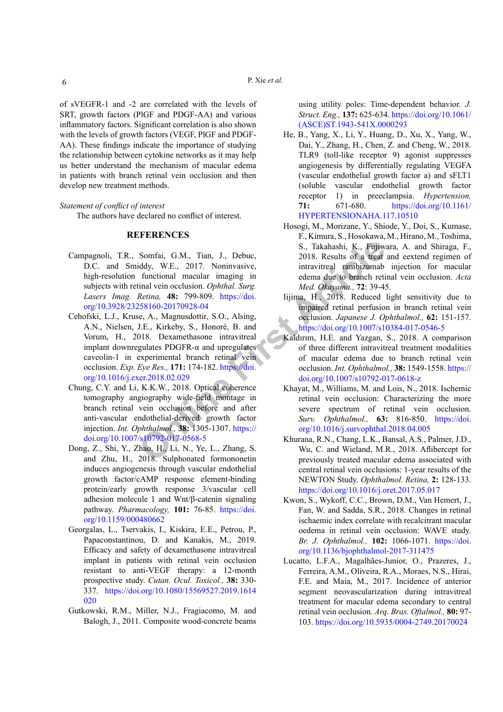of sVEGFR-1 and -2 are correlated with the levels of SRT, growth factors (PlGF and PDGF-AA) and various inflammatory factors. Significant correlation is also shown with the levels of growth factors (VEGF, PlGF and PDGF-AA). These findings indicate the importance of studying the relationship between cytokine networks as it may help us better understand the mechanism of macular edema in patients with branch retinal vein occlusion and then develop new treatment methods.

#### *Statement of conflict of interest*

The authors have declared no conflict of interest.

# **REFERENCES**

- <span id="page-5-2"></span>Campagnoli, T.R., Somfai, G.M., Tian, J., Debuc, D.C. and Smiddy, W.E., 2017. Noninvasive, high-resolution functional macular imaging in subjects with retinal vein occlusion. *Ophthal. Surg. Lasers Imag. Retina,* **48:** 799-809. https://doi. [org/10.3928/23258160-20170928-04](https://doi.org/10.3928/23258160-20170928-04)
- Somfai, G.M., Tian, J., Debuc,<br>
iddy, W.E., 2017. Noninvasive,<br>
intravitteal ramibizumab<br>
functional macular imaging in<br>
tincleand and to branch retina<br>
functional macular imaging in<br>
functional colors are the contract ret Cehofski, L.J., Kruse, A., Magnusdottir, S.O., Alsing, A.N., Nielsen, J.E., Kirkeby, S., Honoré, B. and Vorum, H., 2018. Dexamethasone intravitreal implant downregulates PDGFR-α and upregulates caveolin-1 in experimental branch retinal vein occlusion. *Exp. Eye Res.,* **171:** 174-182. https://doi. [org/10.1016/j.exer.2018.02.029](https://doi.org/10.1016/j.exer.2018.02.029)
- <span id="page-5-5"></span>Chung, C.Y. and Li, K.K.W., 2018. Optical coherence tomography angiography wide-field montage in branch retinal vein occlusion before and after anti-vascular endothelial-derived growth factor injection. *Int. Ophthalmol.,* **38:** 1305-1307. https:// [doi.org/10.1007/s10792-017-0568-5](https://doi.org/10.1007/s10792-017-0568-5)
- <span id="page-5-8"></span>Dong, Z., Shi, Y., Zhao, H., Li, N., Ye, L., Zhang, S. and Zhu, H., 2018. Sulphonated formononetin induces angiogenesis through vascular endothelial growth factor/cAMP response element-binding protein/early growth response 3/vascular cell adhesion molecule 1 and Wnt/β-catenin signaling pathway. *Pharmacology,* **101:** 76-85. [https://doi.](https://doi.org/10.1159/000480662) [org/10.1159/000480662](https://doi.org/10.1159/000480662)
- <span id="page-5-4"></span>Georgalas, L., Tservakis, I., Kiskira, E.E., Petrou, P., Papaconstantinou, D. and Kanakis, M., 2019. Efficacy and safety of dexamethasone intravitreal implant in patients with retinal vein occlusion resistant to anti-VEGF therapy: a 12-month prospective study. *Cutan. Ocul. Toxicol.,* **38:** 330- 337. [https://doi.org/10.1080/15569527.2019.1614](https://doi.org/10.1080/15569527.2019.1614020) [020](https://doi.org/10.1080/15569527.2019.1614020)
- <span id="page-5-10"></span>Gutkowski, R.M., Miller, N.J., Fragiacomo, M. and Balogh, J., 2011. Composite wood-concrete beams

using utility poles: Time-dependent behavior. *J. Struct. Eng.,* **137:** 625-634. [https://doi.org/10.1061/](https://doi.org/10.1061/(ASCE)ST.1943-541X.0000293) [\(ASCE\)ST.1943-541X.0000293](https://doi.org/10.1061/(ASCE)ST.1943-541X.0000293)

- <span id="page-5-7"></span>He, B., Yang, X., Li, Y., Huang, D., Xu, X., Yang, W., Dai, Y., Zhang, H., Chen, Z. and Cheng, W., 2018. TLR9 (toll-like receptor 9) agonist suppresses angiogenesis by differentially regulating VEGFA (vascular endothelial growth factor a) and sFLT1 (soluble vascular endothelial growth factor receptor 1) in preeclampsia. *Hypertension,* **71:** 671-680. [https://doi.org/10.1161/](https://doi.org/10.1161/HYPERTENSIONAHA.117.10510) [HYPERTENSIONAHA.117.10510](https://doi.org/10.1161/HYPERTENSIONAHA.117.10510)
- <span id="page-5-9"></span>Hosogi, M., Morizane, Y., Shiode, Y., Doi, S., Kumase, F., Kimura, S., Hosokawa, M., Hirano, M., Toshima, S., Takahashi, K., Fujiwara, A. and Shiraga, F., 2018. Results of a treat and eextend regimen of intravitreal ranibizumab injection for macular edema due to branch retinal vein occlusion. *Acta Med. Okayama.,* **72**: 39-45.
- <span id="page-5-0"></span>Iijima, H., 2018. Reduced light sensitivity due to impaired retinal perfusion in branch retinal vein occlusion. *Japanese J. Ophthalmol.,* **62:** 151-157. <https://doi.org/10.1007/s10384-017-0546-5>
- Kaldırım, H.E. and Yazgan, S., 2018. A comparison of three different intravitreal treatment modalities of macular edema due to branch retinal vein occlusion. *Int. Ophthalmol.,* **38:** 1549-1558. [https://](https://doi.org/10.1007/s10792-017-0618-z) [doi.org/10.1007/s10792-017-0618-z](https://doi.org/10.1007/s10792-017-0618-z)
- <span id="page-5-1"></span>Khayat, M., Williams, M. and Lois, N., 2018. Ischemic retinal vein occlusion: Characterizing the more severe spectrum of retinal vein occlusion. *Surv. Ophthalmol.,* **63:** 816-850. [https://doi.](https://doi.org/10.1016/j.survophthal.2018.04.005) [org/10.1016/j.survophthal.2018.04.005](https://doi.org/10.1016/j.survophthal.2018.04.005)
- <span id="page-5-6"></span>Khurana, R.N., Chang, L.K., Bansal, A.S., Palmer, J.D., Wu, C. and Wieland, M.R., 2018. Aflibercept for previously treated macular edema associated with central retinal vein occlusions: 1-year results of the NEWTON Study. *Ophthalmol. Retina,* **2:** 128-133. <https://doi.org/10.1016/j.oret.2017.05.017>
- <span id="page-5-3"></span>Kwon, S., Wykoff, C.C., Brown, D.M., Van Hemert, J., Fan, W. and Sadda, S.R., 2018. Changes in retinal ischaemic index correlate with recalcitrant macular oedema in retinal vein occlusion: WAVE study. *Br. J. Ophthalmol.,* **102:** 1066-1071. [https://doi.](https://doi.org/10.1136/bjophthalmol-2017-311475) [org/10.1136/bjophthalmol-2017-311475](https://doi.org/10.1136/bjophthalmol-2017-311475)
- Lucatto, L.F.A., Magalhães-Junior, O., Prazeres, J., Ferreira, A.M., Oliveira, R.A., Moraes, N.S., Hirai, F.E. and Maia, M., 2017. Incidence of anterior segment neovascularization during intravitreal treatment for macular edema secondary to central retinal vein occlusion. *Arq. Bras. Oftalmol.,* **80:** 97- 103.<https://doi.org/10.5935/0004-2749.20170024>